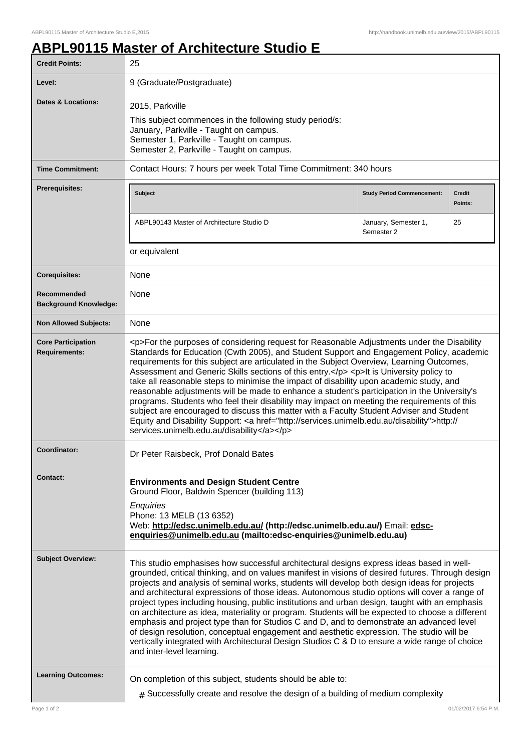٦

## **ABPL90115 Master of Architecture Studio E**

| <b>Credit Points:</b>                             | 25                                                                                                                                                                                                                                                                                                                                                                                                                                                                                                                                                                                                                                                                                                                                                                                                                                                                                                                           |                                    |                          |
|---------------------------------------------------|------------------------------------------------------------------------------------------------------------------------------------------------------------------------------------------------------------------------------------------------------------------------------------------------------------------------------------------------------------------------------------------------------------------------------------------------------------------------------------------------------------------------------------------------------------------------------------------------------------------------------------------------------------------------------------------------------------------------------------------------------------------------------------------------------------------------------------------------------------------------------------------------------------------------------|------------------------------------|--------------------------|
| Level:                                            | 9 (Graduate/Postgraduate)                                                                                                                                                                                                                                                                                                                                                                                                                                                                                                                                                                                                                                                                                                                                                                                                                                                                                                    |                                    |                          |
| Dates & Locations:                                | 2015, Parkville<br>This subject commences in the following study period/s:<br>January, Parkville - Taught on campus.<br>Semester 1, Parkville - Taught on campus.<br>Semester 2, Parkville - Taught on campus.                                                                                                                                                                                                                                                                                                                                                                                                                                                                                                                                                                                                                                                                                                               |                                    |                          |
| <b>Time Commitment:</b>                           | Contact Hours: 7 hours per week Total Time Commitment: 340 hours                                                                                                                                                                                                                                                                                                                                                                                                                                                                                                                                                                                                                                                                                                                                                                                                                                                             |                                    |                          |
| <b>Prerequisites:</b>                             | <b>Subject</b>                                                                                                                                                                                                                                                                                                                                                                                                                                                                                                                                                                                                                                                                                                                                                                                                                                                                                                               | <b>Study Period Commencement:</b>  | <b>Credit</b><br>Points: |
|                                                   | ABPL90143 Master of Architecture Studio D                                                                                                                                                                                                                                                                                                                                                                                                                                                                                                                                                                                                                                                                                                                                                                                                                                                                                    | January, Semester 1,<br>Semester 2 | 25                       |
|                                                   | or equivalent                                                                                                                                                                                                                                                                                                                                                                                                                                                                                                                                                                                                                                                                                                                                                                                                                                                                                                                |                                    |                          |
| <b>Corequisites:</b>                              | None                                                                                                                                                                                                                                                                                                                                                                                                                                                                                                                                                                                                                                                                                                                                                                                                                                                                                                                         |                                    |                          |
| Recommended<br><b>Background Knowledge:</b>       | <b>None</b>                                                                                                                                                                                                                                                                                                                                                                                                                                                                                                                                                                                                                                                                                                                                                                                                                                                                                                                  |                                    |                          |
| <b>Non Allowed Subjects:</b>                      | None                                                                                                                                                                                                                                                                                                                                                                                                                                                                                                                                                                                                                                                                                                                                                                                                                                                                                                                         |                                    |                          |
| <b>Core Participation</b><br><b>Requirements:</b> | <p>For the purposes of considering request for Reasonable Adjustments under the Disability<br/>Standards for Education (Cwth 2005), and Student Support and Engagement Policy, academic<br/>requirements for this subject are articulated in the Subject Overview, Learning Outcomes,<br/>Assessment and Generic Skills sections of this entry.</p> <p>It is University policy to<br/>take all reasonable steps to minimise the impact of disability upon academic study, and<br/>reasonable adjustments will be made to enhance a student's participation in the University's<br/>programs. Students who feel their disability may impact on meeting the requirements of this<br/>subject are encouraged to discuss this matter with a Faculty Student Adviser and Student<br/>Equity and Disability Support: &lt; a href="http://services.unimelb.edu.au/disability"&gt;http://<br/>services.unimelb.edu.au/disability</p> |                                    |                          |
| <b>Coordinator:</b>                               | Dr Peter Raisbeck, Prof Donald Bates                                                                                                                                                                                                                                                                                                                                                                                                                                                                                                                                                                                                                                                                                                                                                                                                                                                                                         |                                    |                          |
| <b>Contact:</b>                                   | <b>Environments and Design Student Centre</b><br>Ground Floor, Baldwin Spencer (building 113)<br>Enquiries<br>Phone: 13 MELB (13 6352)<br>Web: http://edsc.unimelb.edu.au/ (http://edsc.unimelb.edu.au/) Email: edsc-<br>enquiries@unimelb.edu.au (mailto:edsc-enquiries@unimelb.edu.au)                                                                                                                                                                                                                                                                                                                                                                                                                                                                                                                                                                                                                                     |                                    |                          |
| <b>Subject Overview:</b>                          | This studio emphasises how successful architectural designs express ideas based in well-<br>grounded, critical thinking, and on values manifest in visions of desired futures. Through design<br>projects and analysis of seminal works, students will develop both design ideas for projects<br>and architectural expressions of those ideas. Autonomous studio options will cover a range of<br>project types including housing, public institutions and urban design, taught with an emphasis<br>on architecture as idea, materiality or program. Students will be expected to choose a different<br>emphasis and project type than for Studios C and D, and to demonstrate an advanced level<br>of design resolution, conceptual engagement and aesthetic expression. The studio will be<br>vertically integrated with Architectural Design Studios C & D to ensure a wide range of choice<br>and inter-level learning.  |                                    |                          |
| <b>Learning Outcomes:</b>                         | On completion of this subject, students should be able to:<br>$*$ Successfully create and resolve the design of a building of medium complexity                                                                                                                                                                                                                                                                                                                                                                                                                                                                                                                                                                                                                                                                                                                                                                              |                                    |                          |